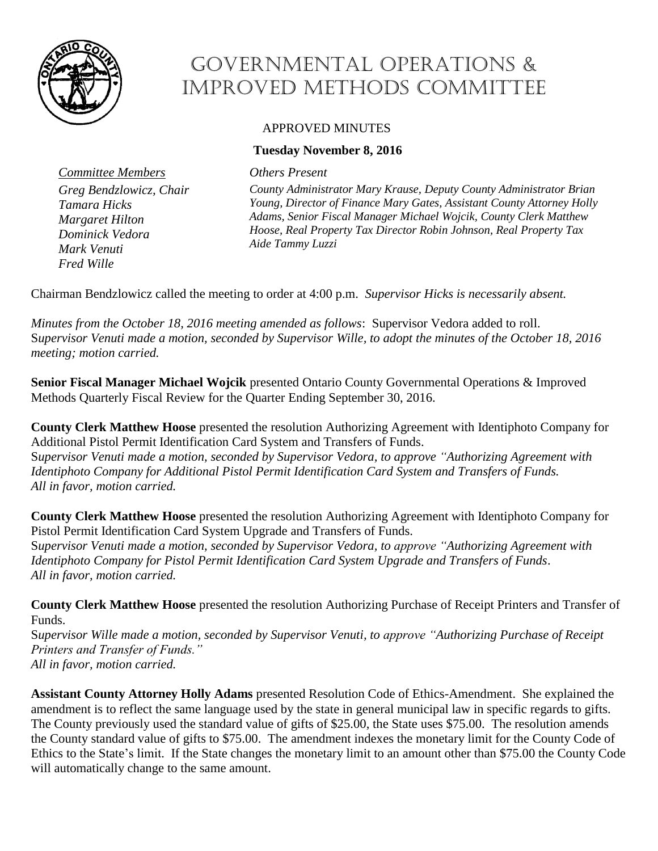

## Governmental Operations & Improved Methods Committee

## APPROVED MINUTES

## **Tuesday November 8, 2016**

*Committee Members Others Present*

*Greg Bendzlowicz, Chair Tamara Hicks Margaret Hilton Dominick Vedora Mark Venuti Fred Wille*

*County Administrator Mary Krause, Deputy County Administrator Brian Young, Director of Finance Mary Gates, Assistant County Attorney Holly Adams, Senior Fiscal Manager Michael Wojcik, County Clerk Matthew Hoose, Real Property Tax Director Robin Johnson, Real Property Tax Aide Tammy Luzzi*

Chairman Bendzlowicz called the meeting to order at 4:00 p.m. *Supervisor Hicks is necessarily absent.*

*Minutes from the October 18, 2016 meeting amended as follows*: Supervisor Vedora added to roll. S*upervisor Venuti made a motion, seconded by Supervisor Wille, to adopt the minutes of the October 18, 2016 meeting; motion carried.* 

**Senior Fiscal Manager Michael Wojcik** presented Ontario County Governmental Operations & Improved Methods Quarterly Fiscal Review for the Quarter Ending September 30, 2016.

**County Clerk Matthew Hoose** presented the resolution Authorizing Agreement with Identiphoto Company for Additional Pistol Permit Identification Card System and Transfers of Funds. S*upervisor Venuti made a motion, seconded by Supervisor Vedora, to approve "Authorizing Agreement with Identiphoto Company for Additional Pistol Permit Identification Card System and Transfers of Funds. All in favor, motion carried.* 

**County Clerk Matthew Hoose** presented the resolution Authorizing Agreement with Identiphoto Company for Pistol Permit Identification Card System Upgrade and Transfers of Funds. S*upervisor Venuti made a motion, seconded by Supervisor Vedora, to approve "Authorizing Agreement with Identiphoto Company for Pistol Permit Identification Card System Upgrade and Transfers of Funds*. *All in favor, motion carried.* 

**County Clerk Matthew Hoose** presented the resolution Authorizing Purchase of Receipt Printers and Transfer of Funds.

S*upervisor Wille made a motion, seconded by Supervisor Venuti, to approve "Authorizing Purchase of Receipt Printers and Transfer of Funds." All in favor, motion carried.* 

**Assistant County Attorney Holly Adams** presented Resolution Code of Ethics-Amendment. She explained the amendment is to reflect the same language used by the state in general municipal law in specific regards to gifts. The County previously used the standard value of gifts of \$25.00, the State uses \$75.00. The resolution amends the County standard value of gifts to \$75.00. The amendment indexes the monetary limit for the County Code of Ethics to the State's limit. If the State changes the monetary limit to an amount other than \$75.00 the County Code will automatically change to the same amount.